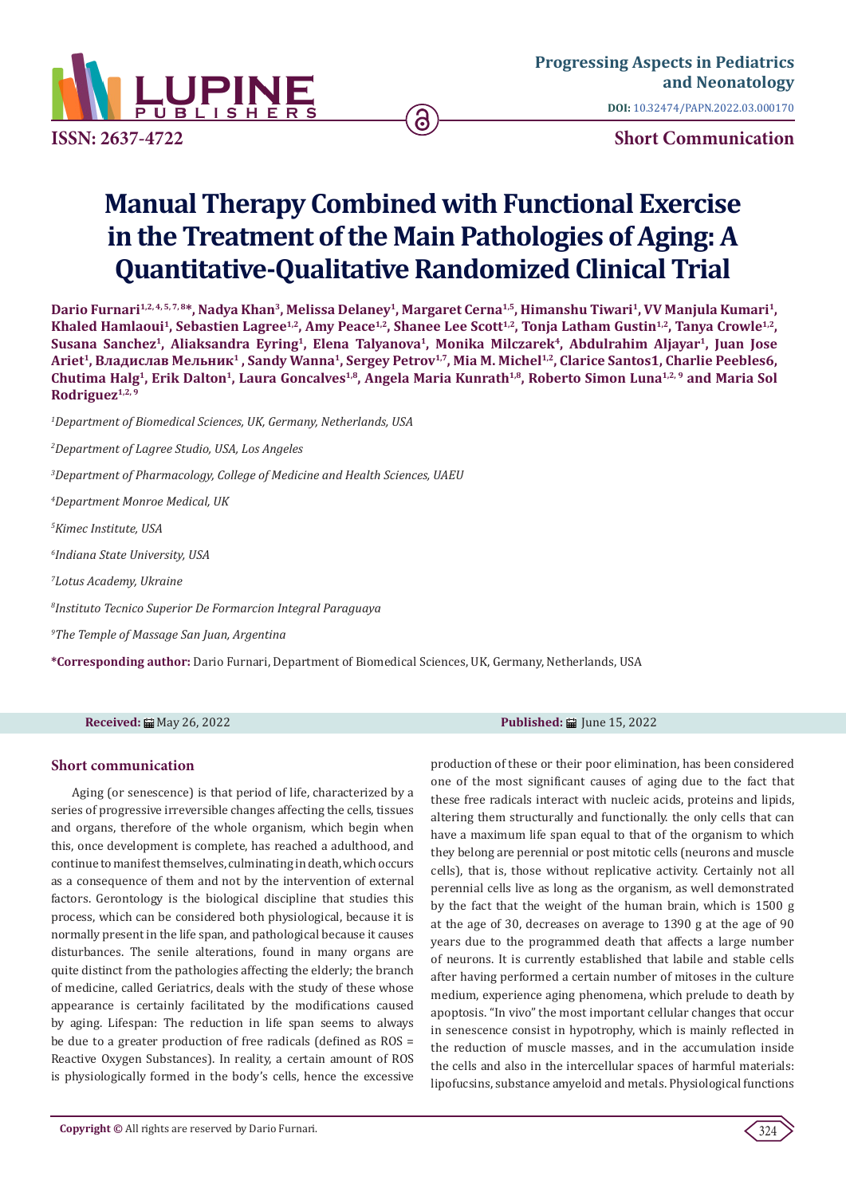

**ISSN: 2637-4722 Short Communication**

# **Manual Therapy Combined with Functional Exercise in the Treatment of the Main Pathologies of Aging: A Quantitative-Qualitative Randomized Clinical Trial**

ခြ

Dario Furnari<sup>1,2, 4, 5, 7, 8\*, Nadya Khan<sup>3</sup>, Melissa Delaney<sup>1</sup>, Margaret Cerna<sup>1,5</sup>, Himanshu Tiwari<sup>1</sup>, VV Manjula Kumari<sup>1</sup>,</sup> Khaled Hamlaoui<sup>1</sup>, Sebastien Lagree<sup>1,2</sup>, Amy Peace<sup>1,2</sup>, Shanee Lee Scott<sup>1,2</sup>, Tonja Latham Gustin<sup>1,2</sup>, Tanya Crowle<sup>1,2</sup>, Susana Sanchez<sup>1</sup>, Aliaksandra Eyring<sup>1</sup>, Elena Talyanova<sup>1</sup>, Monika Milczarek<sup>4</sup>, Abdulrahim Aljayar<sup>1</sup>, Juan Jose **Ariet1, Владислав Мельник1 , Sandy Wanna1, Sergey Petrov1,7, Mia M. Michel1,2, Clarice Santos1, Charlie Peebles6, Chutima Halg1, Erik Dalton1, Laura Goncalves1,8, Angela Maria Kunrath1,8, Roberto Simon Luna1,2, 9 and Maria Sol Rodriguez1,2, 9**

*1 Department of Biomedical Sciences, UK, Germany, Netherlands, USA*

*2 Department of Lagree Studio, USA, Los Angeles*

*3 Department of Pharmacology, College of Medicine and Health Sciences, UAEU*

*4 Department Monroe Medical, UK*

*5 Kimec Institute, USA*

*6 Indiana State University, USA*

*7 Lotus Academy, Ukraine*

*8 Instituto Tecnico Superior De Formarcion Integral Paraguaya*

*9 The Temple of Massage San Juan, Argentina*

**\*Corresponding author:** Dario Furnari, Department of Biomedical Sciences, UK, Germany, Netherlands, USA

## **Short communication**

Aging (or senescence) is that period of life, characterized by a series of progressive irreversible changes affecting the cells, tissues and organs, therefore of the whole organism, which begin when this, once development is complete, has reached a adulthood, and continue to manifest themselves, culminating in death, which occurs as a consequence of them and not by the intervention of external factors. Gerontology is the biological discipline that studies this process, which can be considered both physiological, because it is normally present in the life span, and pathological because it causes disturbances. The senile alterations, found in many organs are quite distinct from the pathologies affecting the elderly; the branch of medicine, called Geriatrics, deals with the study of these whose appearance is certainly facilitated by the modifications caused by aging. Lifespan: The reduction in life span seems to always be due to a greater production of free radicals (defined as ROS = Reactive Oxygen Substances). In reality, a certain amount of ROS is physiologically formed in the body's cells, hence the excessive

**Received:** ■ May 26, 2022 **Published:** ■ June 15, 2022

production of these or their poor elimination, has been considered one of the most significant causes of aging due to the fact that these free radicals interact with nucleic acids, proteins and lipids, altering them structurally and functionally. the only cells that can have a maximum life span equal to that of the organism to which they belong are perennial or post mitotic cells (neurons and muscle cells), that is, those without replicative activity. Certainly not all perennial cells live as long as the organism, as well demonstrated by the fact that the weight of the human brain, which is 1500 g at the age of 30, decreases on average to 1390 g at the age of 90 years due to the programmed death that affects a large number of neurons. It is currently established that labile and stable cells after having performed a certain number of mitoses in the culture medium, experience aging phenomena, which prelude to death by apoptosis. "In vivo" the most important cellular changes that occur in senescence consist in hypotrophy, which is mainly reflected in the reduction of muscle masses, and in the accumulation inside the cells and also in the intercellular spaces of harmful materials: lipofucsins, substance amyeloid and metals. Physiological functions